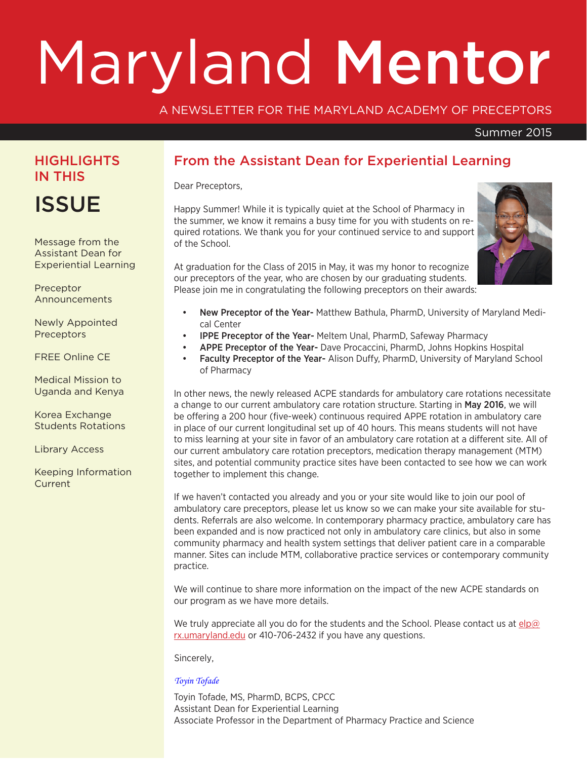# Maryland Mentor

#### A NEWSLETTER FOR THE MARYLAND ACADEMY OF PRECEPTORS

#### Summer 2015

# **HIGHLIGHTS** IN THIS

**ISSUE** 

Message from the Assistant Dean for Experiential Learning

Preceptor Announcements

Newly Appointed **Preceptors** 

FREE Online CE

Medical Mission to Uganda and Kenya

Korea Exchange Students Rotations

Library Access

Keeping Information **Current** 

## From the Assistant Dean for Experiential Learning

Dear Preceptors,

Happy Summer! While it is typically quiet at the School of Pharmacy in the summer, we know it remains a busy time for you with students on required rotations. We thank you for your continued service to and support of the School.

At graduation for the Class of 2015 in May, it was my honor to recognize our preceptors of the year, who are chosen by our graduating students. Please join me in congratulating the following preceptors on their awards:



- New Preceptor of the Year- Matthew Bathula, PharmD, University of Maryland Medical Center
- IPPE Preceptor of the Year- Meltem Unal, PharmD, Safeway Pharmacy
- APPE Preceptor of the Year- Dave Procaccini, PharmD, Johns Hopkins Hospital
- Faculty Preceptor of the Year- Alison Duffy, PharmD, University of Maryland School of Pharmacy

In other news, the newly released ACPE standards for ambulatory care rotations necessitate a change to our current ambulatory care rotation structure. Starting in May 2016, we will be offering a 200 hour (five-week) continuous required APPE rotation in ambulatory care in place of our current longitudinal set up of 40 hours. This means students will not have to miss learning at your site in favor of an ambulatory care rotation at a different site. All of our current ambulatory care rotation preceptors, medication therapy management (MTM) sites, and potential community practice sites have been contacted to see how we can work together to implement this change.

If we haven't contacted you already and you or your site would like to join our pool of ambulatory care preceptors, please let us know so we can make your site available for students. Referrals are also welcome. In contemporary pharmacy practice, ambulatory care has been expanded and is now practiced not only in ambulatory care clinics, but also in some community pharmacy and health system settings that deliver patient care in a comparable manner. Sites can include MTM, collaborative practice services or contemporary community practice.

We will continue to share more information on the impact of the new ACPE standards on our program as we have more details.

We truly appreciate all you do for the students and the School. Please contact us at elp@ rx.umaryland.edu or 410-706-2432 if you have any questions.

Sincerely,

*Toyin Tofade*

Toyin Tofade, MS, PharmD, BCPS, CPCC Assistant Dean for Experiential Learning Associate Professor in the Department of Pharmacy Practice and Science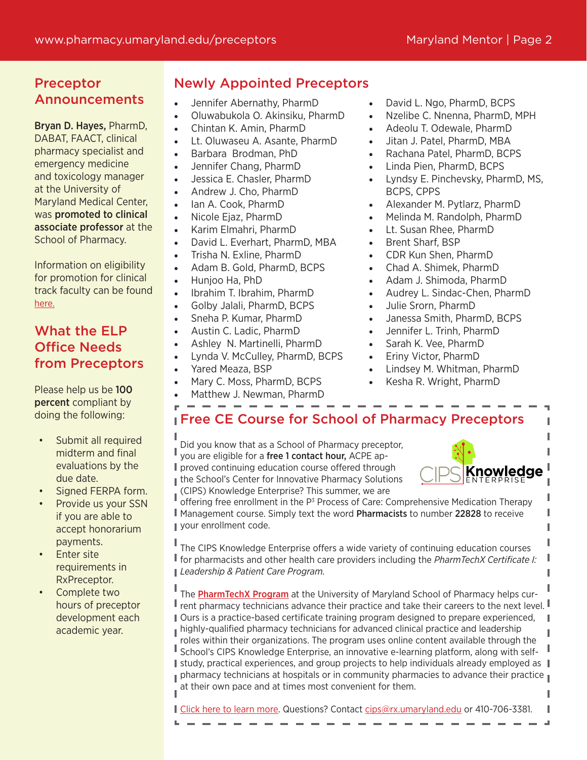# Preceptor Announcements

Bryan D. Hayes, PharmD, DABAT, FAACT, clinical pharmacy specialist and emergency medicine and toxicology manager at the University of Maryland Medical Center, was promoted to clinical associate professor at the School of Pharmacy.

Information on eligibility for promotion for clinical track faculty can be found here.

# What the ELP Office Needs from Preceptors

Please help us be 100 percent compliant by doing the following:

- Submit all required midterm and final evaluations by the due date.
- Signed FERPA form.
- Provide us your SSN if you are able to accept honorarium payments.
- **Enter site** requirements in RxPreceptor.
- Complete two hours of preceptor development each academic year.

# Newly Appointed Preceptors

- Jennifer Abernathy, PharmD
- Oluwabukola O. Akinsiku, PharmD
- Chintan K. Amin, PharmD
- Lt. Oluwaseu A. Asante, PharmD
- Barbara Brodman, PhD
- Jennifer Chang, PharmD
- Jessica E. Chasler, PharmD
- Andrew J. Cho. PharmD
- lan A. Cook, PharmD
- Nicole Ejaz, PharmD
- • Karim Elmahri, PharmD
- David L. Everhart, PharmD, MBA
- Trisha N. Exline, PharmD
- Adam B. Gold, PharmD, BCPS
- Hunjoo Ha, PhD
- Ibrahim T. Ibrahim, PharmD
- Golby Jalali, PharmD, BCPS
- Sneha P. Kumar, PharmD
- Austin C. Ladic, PharmD
- Ashley N. Martinelli, PharmD
- Lynda V. McCulley, PharmD, BCPS
- Yared Meaza, BSP
- Mary C. Moss, PharmD, BCPS
- Matthew J. Newman, PharmD
- David L. Ngo, PharmD, BCPS
- Nzelibe C. Nnenna, PharmD, MPH
- Adeolu T. Odewale, PharmD
- Jitan J. Patel, PharmD, MBA
- Rachana Patel, PharmD, BCPS
- Linda Pien, PharmD, BCPS
- Lyndsy E. Pinchevsky, PharmD, MS, BCPS, CPPS
- Alexander M. Pytlarz, PharmD
- Melinda M. Randolph, PharmD
- Lt. Susan Rhee, PharmD
- Brent Sharf, BSP
- CDR Kun Shen, PharmD
- Chad A. Shimek, PharmD
- Adam J. Shimoda, PharmD
- Audrey L. Sindac-Chen, PharmD
- Julie Srorn, PharmD
- Janessa Smith, PharmD, BCPS
- Jennifer L. Trinh, PharmD
- Sarah K. Vee, PharmD
- Eriny Victor, PharmD
- Lindsey M. Whitman, PharmD
- Kesha R. Wright, PharmD

# **Free CE Course for School of Pharmacy Preceptors**

Did you know that as a School of Pharmacy preceptor, you are eligible for a free 1 contact hour, ACPE ap-**I** proved continuing education course offered through the School's Center for Innovative Pharmacy Solutions (CIPS) Knowledge Enterprise? This summer, we are



ľ

I Ī Ï

Т Ï

L

offering free enrollment in the  $P<sup>3</sup>$  Process of Care: Comprehensive Medication Therapy Management course. Simply text the word Pharmacists to number 22828 to receive **vour enrollment code.** 

The CIPS Knowledge Enterprise offers a wide variety of continuing education courses for pharmacists and other health care providers including the *PharmTechX Certificate I: Leadership & Patient Care Program.*

The PharmTechX Program at the University of Maryland School of Pharmacy helps cur- $\mathbb I$  rent pharmacy technicians advance their practice and take their careers to the next level.  $\mathbb I$ Ours is a practice-based certificate training program designed to prepare experienced,  $\mathbf{I}$ highly-qualified pharmacy technicians for advanced clinical practice and leadership roles within their organizations. The program uses online content available through the Ļ School's CIPS Knowledge Enterprise, an innovative e-learning platform, along with self-I study, practical experiences, and group projects to help individuals already employed as  $\parallel$ pharmacy technicians at hospitals or in community pharmacies to advance their practice  $\mathbf{I}$ at their own pace and at times most convenient for them.

Click here to learn more. Questions? Contact cips@rx.umaryland.edu or 410-706-3381.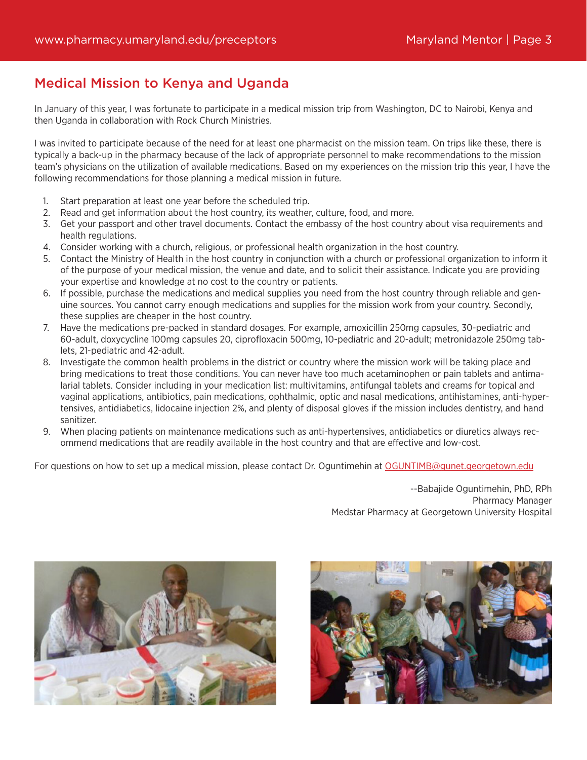### Medical Mission to Kenya and Uganda

In January of this year, I was fortunate to participate in a medical mission trip from Washington, DC to Nairobi, Kenya and then Uganda in collaboration with Rock Church Ministries.

I was invited to participate because of the need for at least one pharmacist on the mission team. On trips like these, there is typically a back-up in the pharmacy because of the lack of appropriate personnel to make recommendations to the mission team's physicians on the utilization of available medications. Based on my experiences on the mission trip this year, I have the following recommendations for those planning a medical mission in future.

- 1. Start preparation at least one year before the scheduled trip.
- 2. Read and get information about the host country, its weather, culture, food, and more.
- 3. Get your passport and other travel documents. Contact the embassy of the host country about visa requirements and health regulations.
- 4. Consider working with a church, religious, or professional health organization in the host country.
- 5. Contact the Ministry of Health in the host country in conjunction with a church or professional organization to inform it of the purpose of your medical mission, the venue and date, and to solicit their assistance. Indicate you are providing your expertise and knowledge at no cost to the country or patients.
- 6. If possible, purchase the medications and medical supplies you need from the host country through reliable and genuine sources. You cannot carry enough medications and supplies for the mission work from your country. Secondly, these supplies are cheaper in the host country.
- 7. Have the medications pre-packed in standard dosages. For example, amoxicillin 250mg capsules, 30-pediatric and 60-adult, doxycycline 100mg capsules 20, ciprofloxacin 500mg, 10-pediatric and 20-adult; metronidazole 250mg tablets, 21-pediatric and 42-adult.
- 8. Investigate the common health problems in the district or country where the mission work will be taking place and bring medications to treat those conditions. You can never have too much acetaminophen or pain tablets and antimalarial tablets. Consider including in your medication list: multivitamins, antifungal tablets and creams for topical and vaginal applications, antibiotics, pain medications, ophthalmic, optic and nasal medications, antihistamines, anti-hypertensives, antidiabetics, lidocaine injection 2%, and plenty of disposal gloves if the mission includes dentistry, and hand sanitizer.
- 9. When placing patients on maintenance medications such as anti-hypertensives, antidiabetics or diuretics always recommend medications that are readily available in the host country and that are effective and low-cost.

For questions on how to set up a medical mission, please contact Dr. Oguntimehin at OGUNTIMB@gunet.georgetown.edu

--Babajide Oguntimehin, PhD, RPh Pharmacy Manager Medstar Pharmacy at Georgetown University Hospital